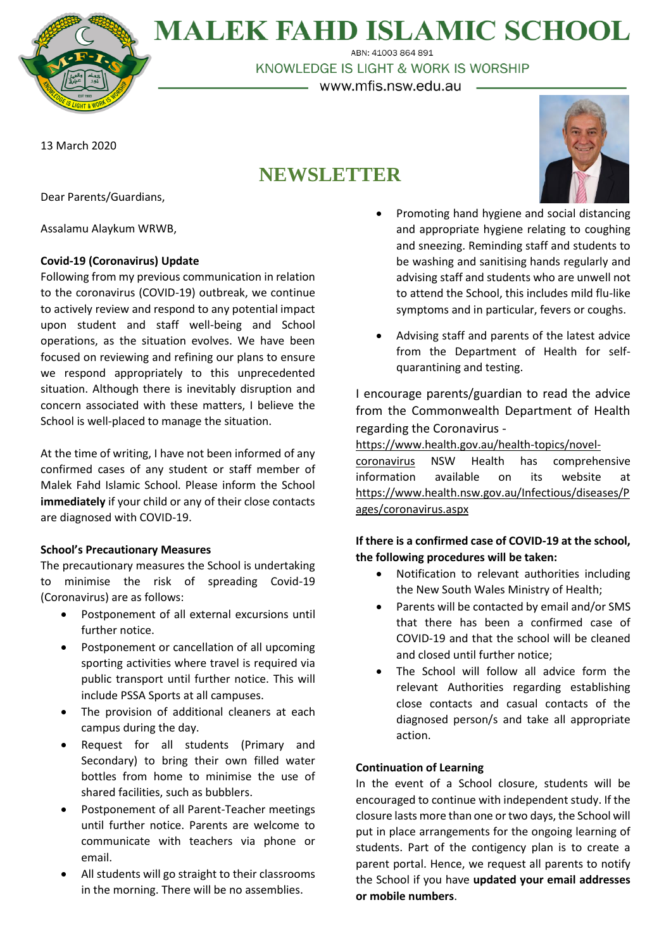

## **MALEK FAHD ISLAMIC SCHOOL**

ABN: 41003 864 891 KNOWLEDGE IS LIGHT & WORK IS WORSHIP

– www.mfis.nsw.edu.au –

13 March 2020

### **NEWSLETTER**



Dear Parents/Guardians,

Assalamu Alaykum WRWB,

#### **Covid-19 (Coronavirus) Update**

Following from my previous communication in relation to the coronavirus (COVID-19) outbreak, we continue to actively review and respond to any potential impact upon student and staff well-being and School operations, as the situation evolves. We have been focused on reviewing and refining our plans to ensure we respond appropriately to this unprecedented situation. Although there is inevitably disruption and concern associated with these matters, I believe the School is well-placed to manage the situation.

At the time of writing, I have not been informed of any confirmed cases of any student or staff member of Malek Fahd Islamic School. Please inform the School **immediately** if your child or any of their close contacts are diagnosed with COVID-19.

#### **School's Precautionary Measures**

The precautionary measures the School is undertaking to minimise the risk of spreading Covid-19 (Coronavirus) are as follows:

- Postponement of all external excursions until further notice.
- Postponement or cancellation of all upcoming sporting activities where travel is required via public transport until further notice. This will include PSSA Sports at all campuses.
- The provision of additional cleaners at each campus during the day.
- Request for all students (Primary and Secondary) to bring their own filled water bottles from home to minimise the use of shared facilities, such as bubblers.
- Postponement of all Parent-Teacher meetings until further notice. Parents are welcome to communicate with teachers via phone or email.
- All students will go straight to their classrooms in the morning. There will be no assemblies.
- Promoting hand hygiene and social distancing and appropriate hygiene relating to coughing and sneezing. Reminding staff and students to be washing and sanitising hands regularly and advising staff and students who are unwell not to attend the School, this includes mild flu-like symptoms and in particular, fevers or coughs.
- Advising staff and parents of the latest advice from the Department of Health for selfquarantining and testing.

I encourage parents/guardian to read the advice from the Commonwealth Department of Health regarding the Coronavirus -

[https://www.health.gov.au/health-topics/novel-](https://www.health.gov.au/health-topics/novel-coronavirus)

[coronavirus](https://www.health.gov.au/health-topics/novel-coronavirus) NSW Health has comprehensive information available on its website at [https://www.health.nsw.gov.au/Infectious/diseases/P](https://www.health.nsw.gov.au/Infectious/diseases/Pages/coronavirus.aspx) [ages/coronavirus.aspx](https://www.health.nsw.gov.au/Infectious/diseases/Pages/coronavirus.aspx)

#### **If there is a confirmed case of COVID-19 at the school, the following procedures will be taken:**

- Notification to relevant authorities including the New South Wales Ministry of Health;
- Parents will be contacted by email and/or SMS that there has been a confirmed case of COVID-19 and that the school will be cleaned and closed until further notice;
- The School will follow all advice form the relevant Authorities regarding establishing close contacts and casual contacts of the diagnosed person/s and take all appropriate action.

#### **Continuation of Learning**

In the event of a School closure, students will be encouraged to continue with independent study. If the closure lasts more than one or two days, the School will put in place arrangements for the ongoing learning of students. Part of the contigency plan is to create a parent portal. Hence, we request all parents to notify the School if you have **updated your email addresses or mobile numbers**.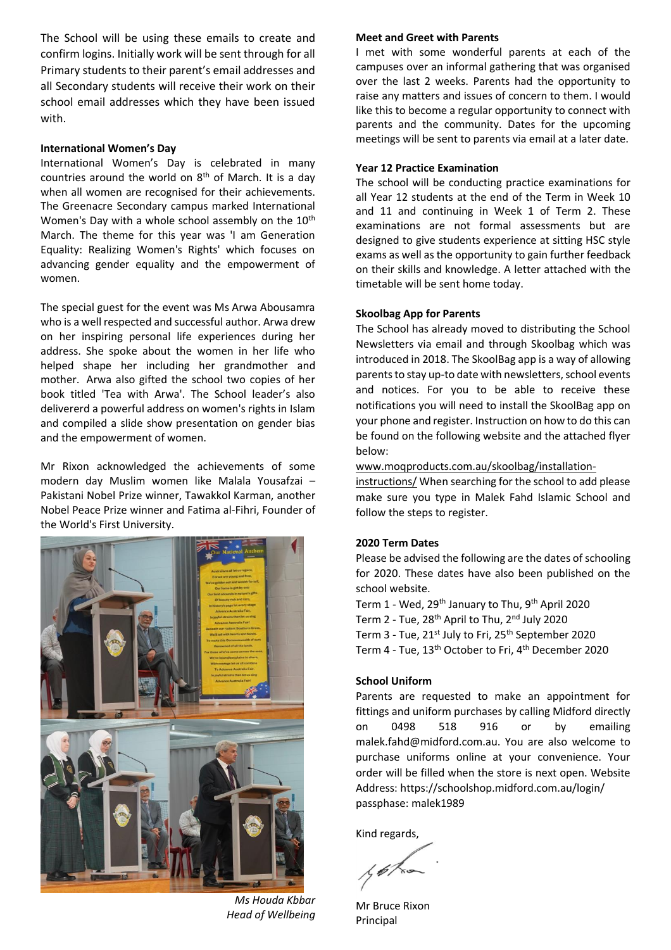The School will be using these emails to create and confirm logins. Initially work will be sent through for all Primary students to their parent's email addresses and all Secondary students will receive their work on their school email addresses which they have been issued with.

#### **International Women's Day**

International Women's Day is celebrated in many countries around the world on  $8<sup>th</sup>$  of March. It is a day when all women are recognised for their achievements. The Greenacre Secondary campus marked International Women's Day with a whole school assembly on the 10<sup>th</sup> March. The theme for this year was 'I am Generation Equality: Realizing Women's Rights' which focuses on advancing gender equality and the empowerment of women.

The special guest for the event was Ms Arwa Abousamra who is a well respected and successful author. Arwa drew on her inspiring personal life experiences during her address. She spoke about the women in her life who helped shape her including her grandmother and mother. Arwa also gifted the school two copies of her book titled 'Tea with Arwa'. The School leader's also delivererd a powerful address on women's rights in Islam and compiled a slide show presentation on gender bias and the empowerment of women.

Mr Rixon acknowledged the achievements of some modern day Muslim women like Malala Yousafzai – Pakistani Nobel Prize winner, Tawakkol Karman, another Nobel Peace Prize winner and Fatima al-Fihri, Founder of the World's First University.



*Ms Houda Kbbar Head of Wellbeing*

#### **Meet and Greet with Parents**

I met with some wonderful parents at each of the campuses over an informal gathering that was organised over the last 2 weeks. Parents had the opportunity to raise any matters and issues of concern to them. I would like this to become a regular opportunity to connect with parents and the community. Dates for the upcoming meetings will be sent to parents via email at a later date.

#### **Year 12 Practice Examination**

The school will be conducting practice examinations for all Year 12 students at the end of the Term in Week 10 and 11 and continuing in Week 1 of Term 2. These examinations are not formal assessments but are designed to give students experience at sitting HSC style exams as well as the opportunity to gain further feedback on their skills and knowledge. A letter attached with the timetable will be sent home today.

#### **Skoolbag App for Parents**

The School has already moved to distributing the School Newsletters via email and through Skoolbag which was introduced in 2018. The SkoolBag app is a way of allowing parents to stay up-to date with newsletters, school events and notices. For you to be able to receive these notifications you will need to install the SkoolBag app on your phone and register. Instruction on how to do this can be found on the following website and the attached flyer below:

#### [www.moqproducts.com.au/skoolbag/installation-](http://www.moqproducts.com.au/skoolbag/installation-instructions/)

[instructions/](http://www.moqproducts.com.au/skoolbag/installation-instructions/) When searching for the school to add please make sure you type in Malek Fahd Islamic School and follow the steps to register.

#### **2020 Term Dates**

Please be advised the following are the dates of schooling for 2020. These dates have also been published on the school website.

Term 1 - Wed, 29<sup>th</sup> January to Thu, 9<sup>th</sup> April 2020 Term 2 - Tue, 28<sup>th</sup> April to Thu, 2<sup>nd</sup> July 2020 Term 3 - Tue, 21<sup>st</sup> July to Fri, 25<sup>th</sup> September 2020 Term 4 - Tue, 13<sup>th</sup> October to Fri, 4<sup>th</sup> December 2020

#### **School Uniform**

Parents are requested to make an appointment for fittings and uniform purchases by calling Midford directly on 0498 518 916 or by emailing malek.fahd@midford.com.au. You are also welcome to purchase uniforms online at your convenience. Your order will be filled when the store is next open. Website Address: https://schoolshop.midford.com.au/login/ passphase: malek1989

Kind regards,

Mr Bruce Rixon Principal